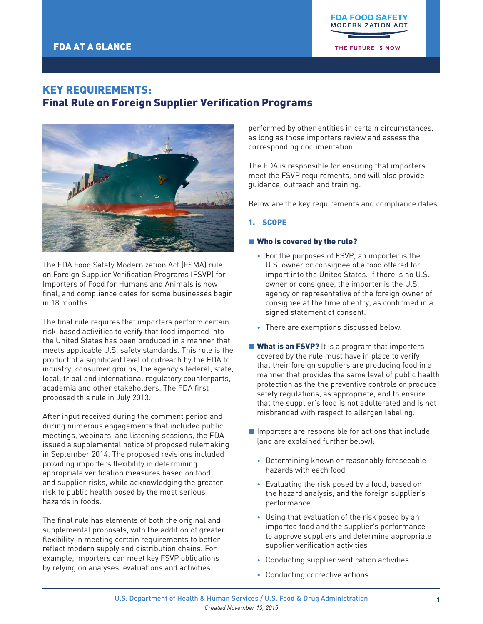THE FUTURE IS NOW

# KEY REQUIREMENTS: Final Rule on Foreign Supplier Verification Programs



The FDA Food Safety Modernization Act (FSMA) rule on Foreign Supplier Verification Programs (FSVP) for Importers of Food for Humans and Animals is now final, and compliance dates for some businesses begin in 18 months.

The final rule requires that importers perform certain risk-based activities to verify that food imported into the United States has been produced in a manner that meets applicable U.S. safety standards. This rule is the product of a significant level of outreach by the FDA to industry, consumer groups, the agency's federal, state, local, tribal and international regulatory counterparts, academia and other stakeholders. The FDA first proposed this rule in July 2013.

After input received during the comment period and during numerous engagements that included public meetings, webinars, and listening sessions, the FDA issued a supplemental notice of proposed rulemaking in September 2014. The proposed revisions included providing importers flexibility in determining appropriate verification measures based on food and supplier risks, while acknowledging the greater risk to public health posed by the most serious hazards in foods.

The final rule has elements of both the original and supplemental proposals, with the addition of greater flexibility in meeting certain requirements to better reflect modern supply and distribution chains. For example, importers can meet key FSVP obligations by relying on analyses, evaluations and activities

performed by other entities in certain circumstances, as long as those importers review and assess the corresponding documentation.

The FDA is responsible for ensuring that importers meet the FSVP requirements, and will also provide guidance, outreach and training.

Below are the key requirements and compliance dates.

## 1. SCOPE

### ■ Who is covered by the rule?

- For the purposes of FSVP, an importer is the U.S. owner or consignee of a food offered for import into the United States. If there is no U.S. owner or consignee, the importer is the U.S. agency or representative of the foreign owner of consignee at the time of entry, as confirmed in a signed statement of consent.
- There are exemptions discussed below.
- **What is an FSVP?** It is a program that importers covered by the rule must have in place to verify that their foreign suppliers are producing food in a manner that provides the same level of public health protection as the the preventive controls or produce safety regulations, as appropriate, and to ensure that the supplier's food is not adulterated and is not misbranded with respect to allergen labeling.
- $\blacksquare$  Importers are responsible for actions that include (and are explained further below):
	- Determining known or reasonably foreseeable hazards with each food
	- Evaluating the risk posed by a food, based on the hazard analysis, and the foreign supplier's performance
	- Using that evaluation of the risk posed by an imported food and the supplier's performance to approve suppliers and determine appropriate supplier verification activities
	- Conducting supplier verification activities
	- Conducting corrective actions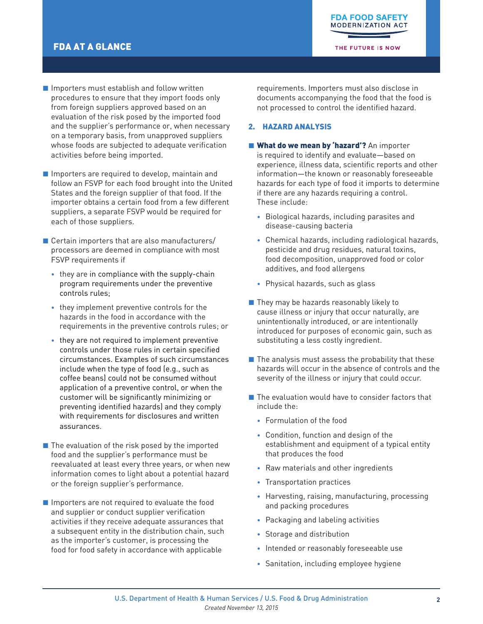# FDA AT A GLANCE

THE FUTURE IS NOW

- Importers must establish and follow written procedures to ensure that they import foods only from foreign suppliers approved based on an evaluation of the risk posed by the imported food and the supplier's performance or, when necessary on a temporary basis, from unapproved suppliers whose foods are subjected to adequate verification activities before being imported.
- Importers are required to develop, maintain and follow an FSVP for each food brought into the United States and the foreign supplier of that food. If the importer obtains a certain food from a few different suppliers, a separate FSVP would be required for each of those suppliers.
- $\blacksquare$  Certain importers that are also manufacturers/ processors are deemed in compliance with most FSVP requirements if
	- they are in compliance with the supply-chain program requirements under the preventive controls rules;
	- they implement preventive controls for the hazards in the food in accordance with the requirements in the preventive controls rules; or
	- they are not required to implement preventive controls under those rules in certain specified circumstances. Examples of such circumstances include when the type of food (e.g., such as coffee beans) could not be consumed without application of a preventive control, or when the customer will be significantly minimizing or preventing identified hazards) and they comply with requirements for disclosures and written assurances.
- $\blacksquare$  The evaluation of the risk posed by the imported food and the supplier's performance must be reevaluated at least every three years, or when new information comes to light about a potential hazard or the foreign supplier's performance.
- $\blacksquare$  Importers are not required to evaluate the food and supplier or conduct supplier verification activities if they receive adequate assurances that a subsequent entity in the distribution chain, such as the importer's customer, is processing the food for food safety in accordance with applicable

requirements. Importers must also disclose in documents accompanying the food that the food is not processed to control the identified hazard.

### 2. HAZARD ANALYSIS

- What do we mean by 'hazard'? An importer is required to identify and evaluate—based on experience, illness data, scientific reports and other information—the known or reasonably foreseeable hazards for each type of food it imports to determine if there are any hazards requiring a control. These include:
	- Biological hazards, including parasites and disease-causing bacteria
	- Chemical hazards, including radiological hazards, pesticide and drug residues, natural toxins, food decomposition, unapproved food or color additives, and food allergens
	- Physical hazards, such as glass
- They may be hazards reasonably likely to cause illness or injury that occur naturally, are unintentionally introduced, or are intentionally introduced for purposes of economic gain, such as substituting a less costly ingredient.
- $\blacksquare$  The analysis must assess the probability that these hazards will occur in the absence of controls and the severity of the illness or injury that could occur.
- $\blacksquare$  The evaluation would have to consider factors that include the:
	- Formulation of the food
	- Condition, function and design of the establishment and equipment of a typical entity that produces the food
	- Raw materials and other ingredients
	- Transportation practices
	- Harvesting, raising, manufacturing, processing and packing procedures
	- Packaging and labeling activities
	- Storage and distribution
	- Intended or reasonably foreseeable use
	- Sanitation, including employee hygiene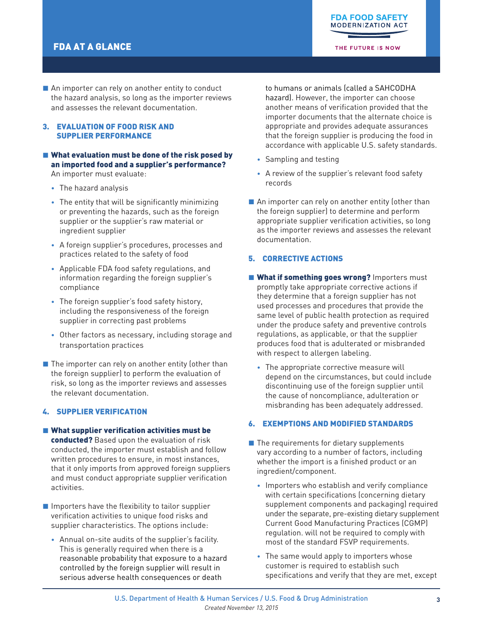THE FUTURE IS NOW

 $\blacksquare$  An importer can rely on another entity to conduct the hazard analysis, so long as the importer reviews and assesses the relevant documentation.

### 3. EVALUATION OF FOOD RISK AND SUPPLIER PERFORMANCE

#### ■ What evaluation must be done of the risk posed by an imported food and a supplier's performance? An importer must evaluate:

- The hazard analysis
- The entity that will be significantly minimizing or preventing the hazards, such as the foreign supplier or the supplier's raw material or ingredient supplier
- A foreign supplier's procedures, processes and practices related to the safety of food
- Applicable FDA food safety regulations, and information regarding the foreign supplier's compliance
- The foreign supplier's food safety history, including the responsiveness of the foreign supplier in correcting past problems
- Other factors as necessary, including storage and transportation practices
- $\blacksquare$  The importer can rely on another entity (other than the foreign supplier) to perform the evaluation of risk, so long as the importer reviews and assesses the relevant documentation.

## 4. SUPPLIER VERIFICATION

- $\blacksquare$  What supplier verification activities must be
	- conducted? Based upon the evaluation of risk conducted, the importer must establish and follow written procedures to ensure, in most instances, that it only imports from approved foreign suppliers and must conduct appropriate supplier verification activities.
- Importers have the flexibility to tailor supplier verification activities to unique food risks and supplier characteristics. The options include:
	- Annual on-site audits of the supplier's facility. This is generally required when there is a reasonable probability that exposure to a hazard controlled by the foreign supplier will result in serious adverse health consequences or death

to humans or animals (called a SAHCODHA hazard). However, the importer can choose another means of verification provided that the importer documents that the alternate choice is appropriate and provides adequate assurances that the foreign supplier is producing the food in accordance with applicable U.S. safety standards.

- Sampling and testing
- A review of the supplier's relevant food safety records
- $\blacksquare$  An importer can rely on another entity (other than the foreign supplier) to determine and perform appropriate supplier verification activities, so long as the importer reviews and assesses the relevant documentation.

### 5. CORRECTIVE ACTIONS

- **E** What if something goes wrong? Importers must promptly take appropriate corrective actions if they determine that a foreign supplier has not used processes and procedures that provide the same level of public health protection as required under the produce safety and preventive controls regulations, as applicable, or that the supplier produces food that is adulterated or misbranded with respect to allergen labeling.
	- The appropriate corrective measure will depend on the circumstances, but could include discontinuing use of the foreign supplier until the cause of noncompliance, adulteration or misbranding has been adequately addressed.

#### 6. EXEMPTIONS AND MODIFIED STANDARDS

- $\blacksquare$  The requirements for dietary supplements vary according to a number of factors, including whether the import is a finished product or an ingredient/component.
	- Importers who establish and verify compliance with certain specifications (concerning dietary supplement components and packaging) required under the separate, pre-existing dietary supplement Current Good Manufacturing Practices (CGMP) regulation. will not be required to comply with most of the standard FSVP requirements.
	- The same would apply to importers whose customer is required to establish such specifications and verify that they are met, except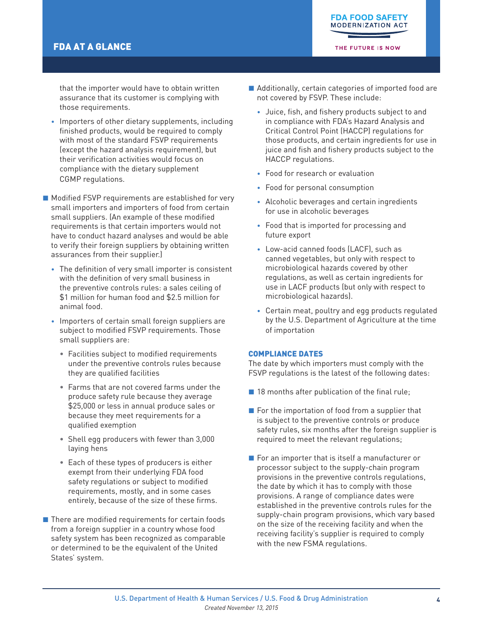# FDA AT A GLANCE

THE FUTURE IS NOW

that the importer would have to obtain written assurance that its customer is complying with those requirements.

• Importers of other dietary supplements, including finished products, would be required to comply with most of the standard FSVP requirements (except the hazard analysis requirement), but their verification activities would focus on compliance with the dietary supplement CGMP regulations.

■ Modified FSVP requirements are established for very small importers and importers of food from certain small suppliers. (An example of these modified requirements is that certain importers would not have to conduct hazard analyses and would be able to verify their foreign suppliers by obtaining written assurances from their supplier.)

- The definition of very small importer is consistent with the definition of very small business in the preventive controls rules: a sales ceiling of \$1 million for human food and \$2.5 million for animal food.
- Importers of certain small foreign suppliers are subject to modified FSVP requirements. Those small suppliers are:
	- Facilities subject to modified requirements under the preventive controls rules because they are qualified facilities
	- Farms that are not covered farms under the produce safety rule because they average \$25,000 or less in annual produce sales or because they meet requirements for a qualified exemption
	- Shell egg producers with fewer than 3,000 laying hens
	- Each of these types of producers is either exempt from their underlying FDA food safety regulations or subject to modified requirements, mostly, and in some cases entirely, because of the size of these firms.
- There are modified requirements for certain foods from a foreign supplier in a country whose food safety system has been recognized as comparable or determined to be the equivalent of the United States' system.
- Additionally, certain categories of imported food are not covered by FSVP. These include:
	- Juice, fish, and fishery products subject to and in compliance with FDA's Hazard Analysis and Critical Control Point (HACCP) regulations for those products, and certain ingredients for use in juice and fish and fishery products subject to the HACCP regulations.
	- Food for research or evaluation
	- Food for personal consumption
	- Alcoholic beverages and certain ingredients for use in alcoholic beverages
	- Food that is imported for processing and future export
	- Low-acid canned foods (LACF), such as canned vegetables, but only with respect to microbiological hazards covered by other regulations, as well as certain ingredients for use in LACF products (but only with respect to microbiological hazards).
	- Certain meat, poultry and egg products regulated by the U.S. Department of Agriculture at the time of importation

#### COMPLIANCE DATES

The date by which importers must comply with the FSVP regulations is the latest of the following dates:

- $\blacksquare$  18 months after publication of the final rule;
- $\blacksquare$  For the importation of food from a supplier that is subject to the preventive controls or produce safety rules, six months after the foreign supplier is required to meet the relevant regulations;
- For an importer that is itself a manufacturer or processor subject to the supply-chain program provisions in the preventive controls regulations, the date by which it has to comply with those provisions. A range of compliance dates were established in the preventive controls rules for the supply-chain program provisions, which vary based on the size of the receiving facility and when the receiving facility's supplier is required to comply with the new FSMA regulations.